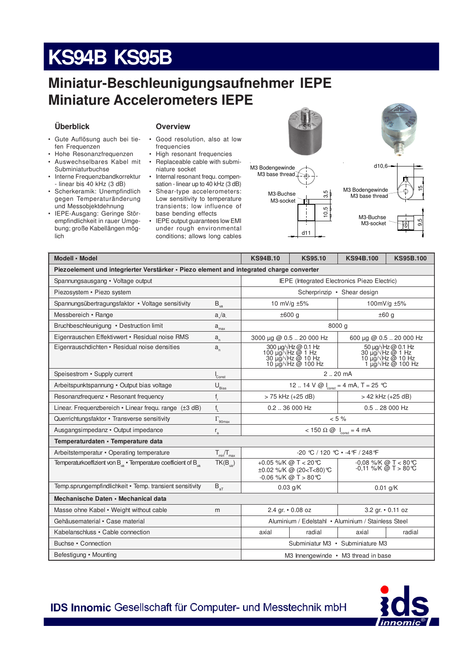# **KS94B KS95B**

### Miniatur-Beschleunigungsaufnehmer IEPE **Miniature Accelerometers IEPE**

#### Überblick

- **Overview**
- · Gute Auflösung auch bei tiefen Frequenzen
- Hohe Resonanzfrequenzen  $\bullet$ • Auswechselbares Kabel mit
- Subminiaturbuchse • Interne Frequenzbandkorrektur - linear bis 40 kHz (3 dB)
- · Scherkeramik: Unempfindlich gegen Temperaturänderung und Messobjektdehnung
- · IEPE-Ausgang: Geringe Störempfindlichkeit in rauer Umgebung; große Kabellängen möglich
- Good resolution, also at low  $\bullet$ frequencies
- High resonant frequencies
- Replaceable cable with subminiature socket
- Internal resonant frequ. compensation - linear up to 40 kHz (3 dB) Shear-type accelerometers: Low sensitivity to temperature
- transients; low influence of base bending effects • IEPE output guarantees low EMI
- under rough environmental conditions; allows long cables



 $d11$ 

 $3,5$ 

 $\frac{10,5}{\pi}$ 

M3-Buchse

M3-socket





| Modell · Model                                                                           | <b>KS94B.10</b>                                     | <b>KS95.10</b>                                                                      | <b>KS94B.100</b>                                                                                      | <b>KS95B.100</b>       |                                                                                                                   |  |  |  |  |
|------------------------------------------------------------------------------------------|-----------------------------------------------------|-------------------------------------------------------------------------------------|-------------------------------------------------------------------------------------------------------|------------------------|-------------------------------------------------------------------------------------------------------------------|--|--|--|--|
| Piezoelement und integrierter Verstärker · Piezo element and integrated charge converter |                                                     |                                                                                     |                                                                                                       |                        |                                                                                                                   |  |  |  |  |
| Spannungsausgang • Voltage output                                                        | <b>IEPE</b> (Integrated Electronics Piezo Electric) |                                                                                     |                                                                                                       |                        |                                                                                                                   |  |  |  |  |
| Piezosystem • Piezo system                                                               |                                                     |                                                                                     | Scherprinzip • Shear design                                                                           |                        |                                                                                                                   |  |  |  |  |
| Spannungsübertragungsfaktor • Voltage sensitivity                                        | $B_{\rm ua}$                                        |                                                                                     | 10 mV/g ±5%                                                                                           | 100mV/g ±5%            |                                                                                                                   |  |  |  |  |
| Messbereich • Range                                                                      | a/a                                                 |                                                                                     | ±600 g                                                                                                | ±60q                   |                                                                                                                   |  |  |  |  |
| Bruchbeschleuniqung • Destruction limit                                                  | $a_{\text{max}}$                                    | 8000 g                                                                              |                                                                                                       |                        |                                                                                                                   |  |  |  |  |
| Eigenrauschen Effektiwert • Residual noise RMS                                           | $a_{n}$                                             | 3000 µg @ 0.5  20 000 Hz                                                            | 600 µg @ 0.5  20 000 Hz                                                                               |                        |                                                                                                                   |  |  |  |  |
| Eigenrauschdichten • Residual noise densities                                            | $a_{n}$                                             | 300 µg/√Hz @ 0.1 Hz<br>100 µg/√Hz @ 1 Hz<br>30 µg/√Hz @ 10 Hz<br>10 µg/√Hz @ 100 Hz |                                                                                                       |                        | $50 \mu g / Hz$ @ 0.1 Hz<br>30 µg/ $\sqrt{Hz}$ @ 1 Hz<br>10 µg/ $\sqrt{Hz}$ @ 10 Hz<br>1 µg/ $\sqrt{Hz}$ @ 100 Hz |  |  |  |  |
| Speisestrom • Supply current                                                             | $\int_{\text{Const}}$                               | 2.20 mA                                                                             |                                                                                                       |                        |                                                                                                                   |  |  |  |  |
| Arbeitspunktspannung • Output bias voltage                                               | $\mathsf{U}_{\underline{\mathsf{Bias}}}$            | 12  14 V @ $I_{\text{const}} = 4 \text{ mA}, T = 25 \text{ }^{\circ}\text{C}$       |                                                                                                       |                        |                                                                                                                   |  |  |  |  |
| Resonanzfrequenz • Resonant frequency                                                    | $f_r$                                               |                                                                                     | > 75 kHz (+25 dB)                                                                                     | > 42 kHz (+25 dB)      |                                                                                                                   |  |  |  |  |
| Linear. Frequenzbereich • Linear frequ. range (±3 dB)                                    | $f_{L}$                                             |                                                                                     | $0.2$ $$ 36 000 Hz                                                                                    | $0.5$ 28 000 Hz        |                                                                                                                   |  |  |  |  |
| Querrichtungsfaktor • Transverse sensitivity                                             | $\Gamma_{\text{90max}}$                             | $< 5 \%$                                                                            |                                                                                                       |                        |                                                                                                                   |  |  |  |  |
| Ausgangsimpedanz • Output impedance                                                      | $<$ 150 $\Omega$ @ $I_{\text{const}}$ = 4 mA        |                                                                                     |                                                                                                       |                        |                                                                                                                   |  |  |  |  |
| Temperaturdaten · Temperature data                                                       |                                                     |                                                                                     |                                                                                                       |                        |                                                                                                                   |  |  |  |  |
| Arbeitstemperatur • Operating temperature                                                | $T_{min}/T_{max}$                                   | $-20$ °C / 120 °C $\cdot$ -4 °F / 248 °F                                            |                                                                                                       |                        |                                                                                                                   |  |  |  |  |
| Temperaturkoeffizient von B <sub>in</sub> • Temperature coefficient of B <sub>in</sub>   | $TK(B_{\text{in}})$                                 |                                                                                     | +0.05 %/K @ T < 20 °C<br>±0.02 %/K @ (20 <t<80)℃<br><math>-0.06</math> %/K @ T &gt; 80 °C</t<80)℃<br> | $-0.11$ %/K @ T > 80 ℃ | -0,08 %/K @ T < 80 ℃                                                                                              |  |  |  |  |
| Temp.sprungempfindlichkeit • Temp. transient sensitivity                                 | $B_{\rm at}$                                        | $0.03$ g/K<br>$0.01$ g/K                                                            |                                                                                                       |                        |                                                                                                                   |  |  |  |  |
| Mechanische Daten • Mechanical data                                                      |                                                     |                                                                                     |                                                                                                       |                        |                                                                                                                   |  |  |  |  |
| Masse ohne Kabel • Weight without cable                                                  | m                                                   |                                                                                     | 2.4 gr. • 0.08 oz                                                                                     |                        | 3.2 gr. • 0.11 oz                                                                                                 |  |  |  |  |
| Gehäusematerial • Case material                                                          |                                                     | Aluminium / Edelstahl • Aluminium / Stainless Steel                                 |                                                                                                       |                        |                                                                                                                   |  |  |  |  |
| Kabelanschluss • Cable connection                                                        |                                                     | axial                                                                               | radial                                                                                                | axial                  | radial                                                                                                            |  |  |  |  |
| Buchse • Connection                                                                      | Subminiatur M3 · Subminiature M3                    |                                                                                     |                                                                                                       |                        |                                                                                                                   |  |  |  |  |
| Befestigung • Mounting                                                                   |                                                     | M3 Innengewinde • M3 thread in base                                                 |                                                                                                       |                        |                                                                                                                   |  |  |  |  |

**IDS Innomic Gesellschaft für Computer- und Messtechnik mbH**